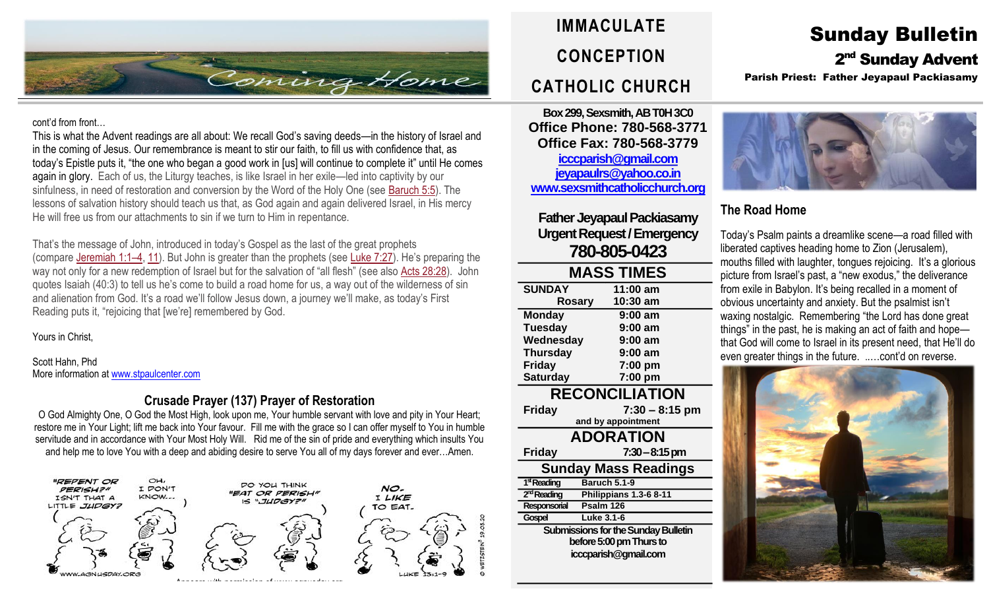

#### cont'd from front…

This is what the Advent readings are all about: We recall God's saving deeds—in the history of Israel and in the coming of Jesus. Our remembrance is meant to stir our faith, to fill us with confidence that, as today's Epistle puts it, "the one who began a good work in [us] will continue to complete it" until He comes again in glory. Each of us, the Liturgy teaches, is like Israel in her exile—led into captivity by our sinfulness, in need of restoration and conversion by the Word of the Holy One (see [Baruch](https://biblia.com/bible/rsvce/Baruch%205.5) 5:5). The lessons of salvation history should teach us that, as God again and again delivered Israel, in His mercy He will free us from our attachments to sin if we turn to Him in repentance.

That's the message of John, introduced in today's Gospel as the last of the great prophets (compare [Jeremiah](https://biblia.com/bible/rsvce/Jer%201.1%E2%80%934) 1:1–4, [11\)](https://biblia.com/bible/rsvce/Jeremiah%201.11). But John is greater than the prophets (see [Luke](https://biblia.com/bible/rsvce/Luke%207.27) 7:27). He's preparing the way not only for a new redemption of Israel but for the salvation of "all flesh" (see also Acts [28:28\)](https://biblia.com/bible/rsvce/Acts%2028.28). John quotes Isaiah (40:3) to tell us he's come to build a road home for us, a way out of the wilderness of sin and alienation from God. It's a road we'll follow Jesus down, a journey we'll make, as today's First Reading puts it, "rejoicing that [we're] remembered by God.

Yours in Christ,

Scott Hahn, Phd More information a[t www.stpaulcenter.com](http://www.stpaulcenter.com/)

### **Crusade Prayer (137) Prayer of Restoration**

O God Almighty One, O God the Most High, look upon me, Your humble servant with love and pity in Your Heart; restore me in Your Light; lift me back into Your favour. Fill me with the grace so I can offer myself to You in humble servitude and in accordance with Your Most Holy Will. Rid me of the sin of pride and everything which insults You and help me to love You with a deep and abiding desire to serve You all of my days forever and ever…Amen.



# **IMMACULATE CONCEPTION CATHOLIC CHURCH**

**Box 299, Sexsmith, AB T0H 3C0 Office Phone: 780-568-3771 Office Fax: 780-568-3779 [icccparish@gmail.com](mailto:icccparish@gmail.com) [jeyapaulrs@yahoo.co.in](mailto:jeyapaulrs@yahoo.co.in) [www.sexsmithcatholicchurch.org](http://www.sexsmithcatholicchurch.org/)**

**Father Jeyapaul Packiasamy Urgent Request/Emergency 780-805-0423**

| <b>MASS TIMES</b>                          |                        |  |  |  |
|--------------------------------------------|------------------------|--|--|--|
| <b>SUNDAY</b>                              | 11:00 am               |  |  |  |
| <b>Rosary</b>                              | 10:30 am               |  |  |  |
| <b>Monday</b>                              | 9:00 am                |  |  |  |
| <b>Tuesday</b>                             | $9:00$ am              |  |  |  |
| Wednesday                                  | $9:00$ am              |  |  |  |
| <b>Thursday</b>                            | 9:00 am                |  |  |  |
| <b>Friday</b>                              | 7:00 pm                |  |  |  |
| <b>Saturday</b>                            | 7:00 pm                |  |  |  |
| <b>RECONCILIATION</b>                      |                        |  |  |  |
| <b>Friday</b>                              | $7:30 - 8:15$ pm       |  |  |  |
|                                            | and by appointment     |  |  |  |
| <b>ADORATION</b>                           |                        |  |  |  |
| <b>Friday</b>                              | $7:30 - 8:15$ pm       |  |  |  |
| <b>Sunday Mass Readings</b>                |                        |  |  |  |
| 1 <sup>st</sup> Reading                    | <b>Baruch 5.1-9</b>    |  |  |  |
| 2 <sup>nd</sup> Reading                    | Philippians 1.3-6 8-11 |  |  |  |
| Responsorial                               | Psalm 126              |  |  |  |
| Gospel                                     | Luke 3.1-6             |  |  |  |
| <b>Submissions for the Sunday Bulletin</b> |                        |  |  |  |
| before 5:00 pm Thurs to                    |                        |  |  |  |
| icccparish@gmail.com                       |                        |  |  |  |
|                                            |                        |  |  |  |
|                                            |                        |  |  |  |

## Sunday Bulletin 2<sup>nd</sup> Sunday Advent

Parish Priest: Father Jeyapaul Packiasamy



### **The Road Home**

Today's Psalm paints a dreamlike scene—a road filled with liberated captives heading home to Zion (Jerusalem), mouths filled with laughter, tongues rejoicing. It's a glorious picture from Israel's past, a "new exodus," the deliverance from exile in Babylon. It's being recalled in a moment of obvious uncertainty and anxiety. But the psalmist isn't waxing nostalgic. Remembering "the Lord has done great things" in the past, he is making an act of faith and hope that God will come to Israel in its present need, that He'll do even greater things in the future. ..…cont'd on reverse.